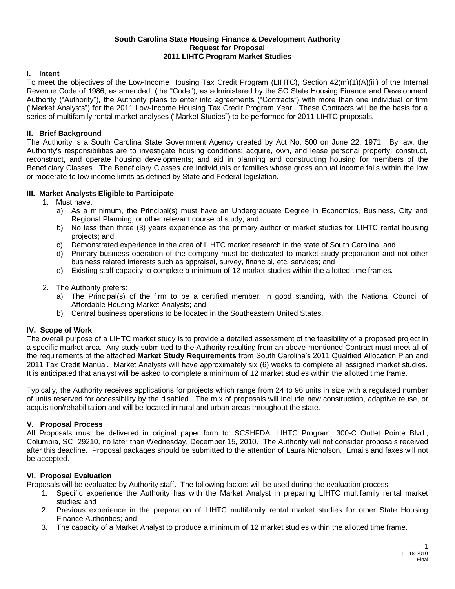#### **South Carolina State Housing Finance & Development Authority Request for Proposal 2011 LIHTC Program Market Studies**

# **I. Intent**

To meet the objectives of the Low-Income Housing Tax Credit Program (LIHTC), Section 42(m)(1)(A)(iii) of the Internal Revenue Code of 1986, as amended, (the "Code"), as administered by the SC State Housing Finance and Development Authority ("Authority"), the Authority plans to enter into agreements ("Contracts") with more than one individual or firm ("Market Analysts") for the 2011 Low-Income Housing Tax Credit Program Year. These Contracts will be the basis for a series of multifamily rental market analyses ("Market Studies") to be performed for 2011 LIHTC proposals.

### **II. Brief Background**

The Authority is a South Carolina State Government Agency created by Act No. 500 on June 22, 1971. By law, the Authority's responsibilities are to investigate housing conditions; acquire, own, and lease personal property; construct, reconstruct, and operate housing developments; and aid in planning and constructing housing for members of the Beneficiary Classes. The Beneficiary Classes are individuals or families whose gross annual income falls within the low or moderate-to-low income limits as defined by State and Federal legislation.

### **III. Market Analysts Eligible to Participate**

- 1. Must have:
	- a) As a minimum, the Principal(s) must have an Undergraduate Degree in Economics, Business, City and Regional Planning, or other relevant course of study; and
	- b) No less than three (3) years experience as the primary author of market studies for LIHTC rental housing projects; and
	- c) Demonstrated experience in the area of LIHTC market research in the state of South Carolina; and
	- d) Primary business operation of the company must be dedicated to market study preparation and not other business related interests such as appraisal, survey, financial, etc. services; and
	- e) Existing staff capacity to complete a minimum of 12 market studies within the allotted time frames.
- 2. The Authority prefers:
	- a) The Principal(s) of the firm to be a certified member, in good standing, with the National Council of Affordable Housing Market Analysts; and
	- b) Central business operations to be located in the Southeastern United States.

#### **IV. Scope of Work**

The overall purpose of a LIHTC market study is to provide a detailed assessment of the feasibility of a proposed project in a specific market area. Any study submitted to the Authority resulting from an above-mentioned Contract must meet all of the requirements of the attached **Market Study Requirements** from South Carolina's 2011 Qualified Allocation Plan and 2011 Tax Credit Manual. Market Analysts will have approximately six (6) weeks to complete all assigned market studies. It is anticipated that analyst will be asked to complete a minimum of 12 market studies within the allotted time frame.

Typically, the Authority receives applications for projects which range from 24 to 96 units in size with a regulated number of units reserved for accessibility by the disabled. The mix of proposals will include new construction, adaptive reuse, or acquisition/rehabilitation and will be located in rural and urban areas throughout the state.

## **V. Proposal Process**

All Proposals must be delivered in original paper form to: SCSHFDA, LIHTC Program, 300-C Outlet Pointe Blvd., Columbia, SC 29210, no later than Wednesday, December 15, 2010. The Authority will not consider proposals received after this deadline. Proposal packages should be submitted to the attention of Laura Nicholson. Emails and faxes will not be accepted.

#### **VI. Proposal Evaluation**

Proposals will be evaluated by Authority staff. The following factors will be used during the evaluation process:

- 1. Specific experience the Authority has with the Market Analyst in preparing LIHTC multifamily rental market studies; and
- 2. Previous experience in the preparation of LIHTC multifamily rental market studies for other State Housing Finance Authorities; and
- 3. The capacity of a Market Analyst to produce a minimum of 12 market studies within the allotted time frame.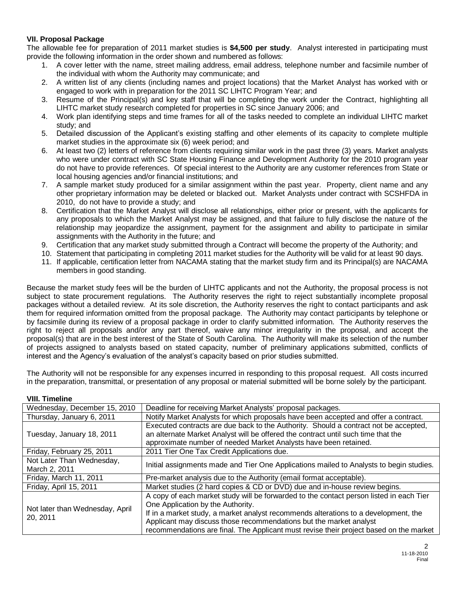# **VII. Proposal Package**

The allowable fee for preparation of 2011 market studies is **\$4,500 per study**. Analyst interested in participating must provide the following information in the order shown and numbered as follows:

- 1. A cover letter with the name, street mailing address, email address, telephone number and facsimile number of the individual with whom the Authority may communicate; and
- 2. A written list of any clients (including names and project locations) that the Market Analyst has worked with or engaged to work with in preparation for the 2011 SC LIHTC Program Year; and
- 3. Resume of the Principal(s) and key staff that will be completing the work under the Contract, highlighting all LIHTC market study research completed for properties in SC since January 2006; and
- 4. Work plan identifying steps and time frames for all of the tasks needed to complete an individual LIHTC market study; and
- 5. Detailed discussion of the Applicant's existing staffing and other elements of its capacity to complete multiple market studies in the approximate six (6) week period; and
- 6. At least two (2) letters of reference from clients requiring similar work in the past three (3) years. Market analysts who were under contract with SC State Housing Finance and Development Authority for the 2010 program year do not have to provide references. Of special interest to the Authority are any customer references from State or local housing agencies and/or financial institutions; and
- 7. A sample market study produced for a similar assignment within the past year. Property, client name and any other proprietary information may be deleted or blacked out. Market Analysts under contract with SCSHFDA in 2010, do not have to provide a study; and
- 8. Certification that the Market Analyst will disclose all relationships, either prior or present, with the applicants for any proposals to which the Market Analyst may be assigned, and that failure to fully disclose the nature of the relationship may jeopardize the assignment, payment for the assignment and ability to participate in similar assignments with the Authority in the future; and
- 9. Certification that any market study submitted through a Contract will become the property of the Authority; and
- 10. Statement that participating in completing 2011 market studies for the Authority will be valid for at least 90 days.
- 11. If applicable, certification letter from NACAMA stating that the market study firm and its Principal(s) are NACAMA members in good standing.

Because the market study fees will be the burden of LIHTC applicants and not the Authority, the proposal process is not subject to state procurement regulations. The Authority reserves the right to reject substantially incomplete proposal packages without a detailed review. At its sole discretion, the Authority reserves the right to contact participants and ask them for required information omitted from the proposal package. The Authority may contact participants by telephone or by facsimile during its review of a proposal package in order to clarify submitted information. The Authority reserves the right to reject all proposals and/or any part thereof, waive any minor irregularity in the proposal, and accept the proposal(s) that are in the best interest of the State of South Carolina. The Authority will make its selection of the number of projects assigned to analysts based on stated capacity, number of preliminary applications submitted, conflicts of interest and the Agency's evaluation of the analyst's capacity based on prior studies submitted.

The Authority will not be responsible for any expenses incurred in responding to this proposal request. All costs incurred in the preparation, transmittal, or presentation of any proposal or material submitted will be borne solely by the participant.

| Wednesday, December 15, 2010                | Deadline for receiving Market Analysts' proposal packages.                                                                                                                                                                                                                                                                                                                          |
|---------------------------------------------|-------------------------------------------------------------------------------------------------------------------------------------------------------------------------------------------------------------------------------------------------------------------------------------------------------------------------------------------------------------------------------------|
| Thursday, January 6, 2011                   | Notify Market Analysts for which proposals have been accepted and offer a contract.                                                                                                                                                                                                                                                                                                 |
| Tuesday, January 18, 2011                   | Executed contracts are due back to the Authority. Should a contract not be accepted,<br>an alternate Market Analyst will be offered the contract until such time that the<br>approximate number of needed Market Analysts have been retained.                                                                                                                                       |
| Friday, February 25, 2011                   | 2011 Tier One Tax Credit Applications due.                                                                                                                                                                                                                                                                                                                                          |
| Not Later Than Wednesday,<br>March 2, 2011  | Initial assignments made and Tier One Applications mailed to Analysts to begin studies.                                                                                                                                                                                                                                                                                             |
| Friday, March 11, 2011                      | Pre-market analysis due to the Authority (email format acceptable).                                                                                                                                                                                                                                                                                                                 |
| Friday, April 15, 2011                      | Market studies (2 hard copies & CD or DVD) due and in-house review begins.                                                                                                                                                                                                                                                                                                          |
| Not later than Wednesday, April<br>20, 2011 | A copy of each market study will be forwarded to the contact person listed in each Tier<br>One Application by the Authority.<br>If in a market study, a market analyst recommends alterations to a development, the<br>Applicant may discuss those recommendations but the market analyst<br>recommendations are final. The Applicant must revise their project based on the market |

#### **VIII. Timeline**